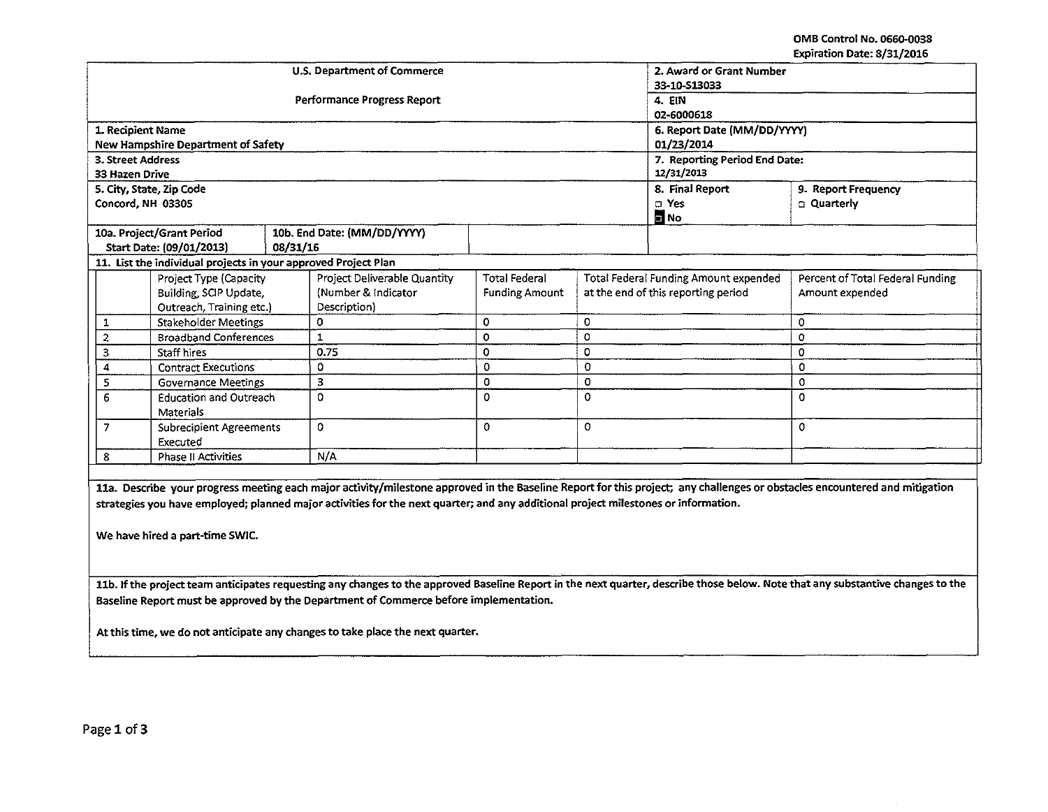OMB Control No. 066D-0038 Expiration Date: 8/31/2016

|                                                                | EVANI GANII POLE. OLOTI TATA       |          |                              |                             |                                     |                                       |                                  |  |  |  |  |
|----------------------------------------------------------------|------------------------------------|----------|------------------------------|-----------------------------|-------------------------------------|---------------------------------------|----------------------------------|--|--|--|--|
|                                                                |                                    |          | U.S. Department of Commerce  | 2. Award or Grant Number    |                                     |                                       |                                  |  |  |  |  |
|                                                                |                                    |          |                              | 33-10-513033                |                                     |                                       |                                  |  |  |  |  |
|                                                                |                                    |          | Performance Progress Report  |                             |                                     | 4. EIN                                |                                  |  |  |  |  |
|                                                                |                                    |          |                              | 02-6000618                  |                                     |                                       |                                  |  |  |  |  |
| 1. Recipient Name                                              |                                    |          |                              | 6. Report Date (MM/DD/YYYY) |                                     |                                       |                                  |  |  |  |  |
|                                                                | New Hampshire Department of Safety |          |                              | 01/23/2014                  |                                     |                                       |                                  |  |  |  |  |
| 3. Street Address                                              |                                    |          |                              |                             | 7. Reporting Period End Date:       |                                       |                                  |  |  |  |  |
| 33 Hazen Drive                                                 |                                    |          |                              | 12/31/2013                  |                                     |                                       |                                  |  |  |  |  |
|                                                                | 5. City, State, Zip Code           |          |                              |                             | 8. Final Report                     | 9. Report Frequency                   |                                  |  |  |  |  |
| Concord, NH 03305                                              |                                    |          |                              |                             | <b>D</b> Yes                        | n Quarterly                           |                                  |  |  |  |  |
|                                                                |                                    |          |                              |                             |                                     | $\blacksquare$ No                     |                                  |  |  |  |  |
|                                                                | 10a. Project/Grant Period          |          | 10b. End Date: (MM/DD/YYYY)  |                             |                                     |                                       |                                  |  |  |  |  |
|                                                                | Start Date: (09/01/2013)           | 08/31/16 |                              |                             |                                     |                                       |                                  |  |  |  |  |
| 11. List the individual projects in your approved Project Plan |                                    |          |                              |                             |                                     |                                       |                                  |  |  |  |  |
|                                                                | Project Type (Capacity             |          | Project Deliverable Quantity | <b>Total Federal</b>        |                                     | Total Federal Funding Amount expended | Percent of Total Federal Funding |  |  |  |  |
|                                                                | Building, SCIP Update,             |          | (Number & Indicator          | <b>Funding Amount</b>       | at the end of this reporting period |                                       | Amount expended                  |  |  |  |  |
|                                                                | Outreach, Training etc.)           |          | Description)                 |                             |                                     |                                       |                                  |  |  |  |  |
| 1                                                              | <b>Stakeholder Meetings</b>        |          | 0                            | ٥                           | 0                                   |                                       | 0                                |  |  |  |  |
| $\overline{2}$                                                 | <b>Broadband Conferences</b>       |          | $\mathbf{1}$                 | 0                           | 0                                   |                                       | 0                                |  |  |  |  |
| 3                                                              | Staff hires                        |          | 0.75                         | 0                           | 0                                   |                                       | 0                                |  |  |  |  |
| 4                                                              | <b>Contract Executions</b>         |          | $\circ$                      | $\Omega$                    | 0                                   |                                       | 0                                |  |  |  |  |
| 5                                                              | <b>Governance Meetings</b>         |          | 3                            | O                           | 0                                   |                                       | 0                                |  |  |  |  |
| 6                                                              | <b>Education and Outreach</b>      |          | $\circ$                      | $\mathbf 0$                 | 0                                   |                                       | 0                                |  |  |  |  |
| Materials                                                      |                                    |          |                              |                             |                                     |                                       |                                  |  |  |  |  |
| 7                                                              | <b>Subrecipient Agreements</b>     |          | $\circ$                      | $\Omega$                    | 0                                   |                                       | 0                                |  |  |  |  |
| Executed                                                       |                                    |          |                              |                             |                                     |                                       |                                  |  |  |  |  |
| 8                                                              | <b>Phase II Activities</b>         |          | N/A                          |                             |                                     |                                       |                                  |  |  |  |  |
|                                                                |                                    |          |                              |                             |                                     |                                       |                                  |  |  |  |  |

lla. Describe your progress meeting each major activity/milestone approved in the Baseline Report for this project; any challenges or obstacles encountered and mitigation strategies you have employed; planned major activities for the next quarter; and any additional project milestones or information.

We have hired a part-time SWIC.

11b. If the project team anticipates requesting any changes to the approved Baseline Report in the next quarter, describe those below. Note that any substantive changes to the Baseline Report must be approved by the Department of Commerce before implementation.

At this time, we do not anticipate any changes to take place the next quarter.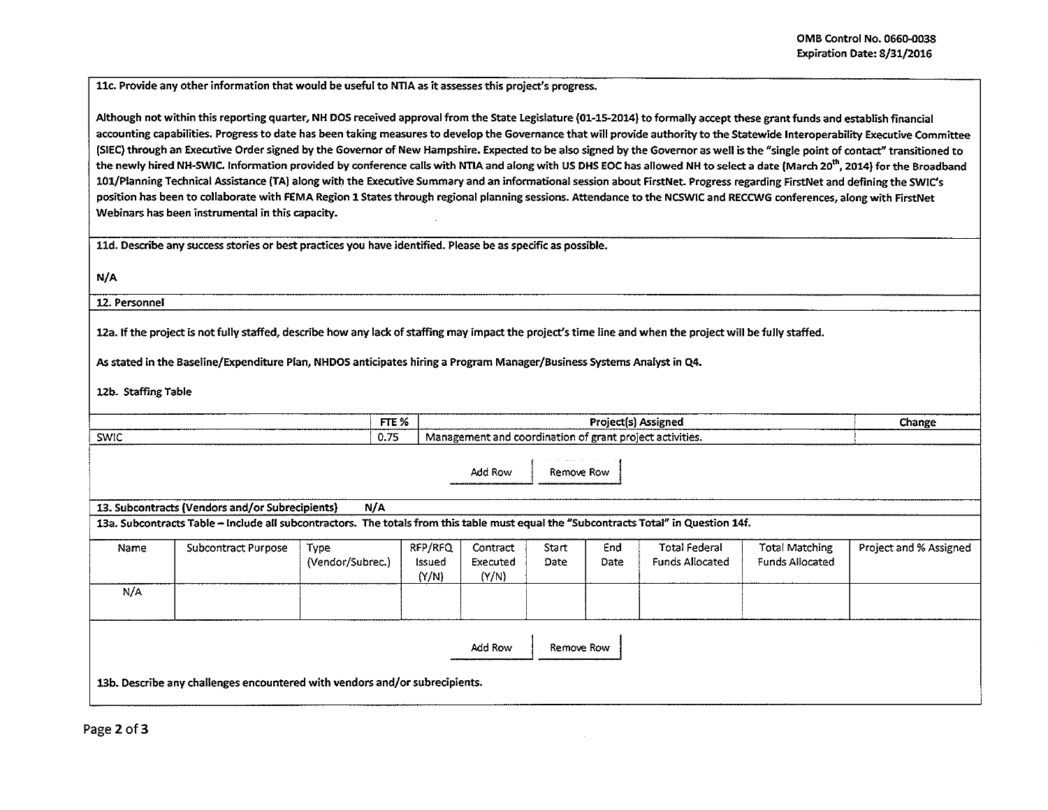llc. Provide any other information that would be useful to NTIA as it assesses this project's progress.

Although not within this reporting quarter, NH DOS received approval from the State legislature (01·15-2014} to formally accept these grant funds and establish financial accounting capabilities. Progress to date has been taking measures to develop the Governance that will provide authority to the Statewide lnteroperability Executive Committee (SIEC) through an Executive Order signed by the Governor of New Hampshire. Expected to be also signed by the Governor as well is the "single point of contact" transitioned to the newly hired NH-SWIC. Information provided by conference calls with NTIA and along with US DHS EOC has allowed NH to select a date (March 20<sup>th</sup>, 2014) for the Broadband 101/Pianning Technical Assistance (TA) along witb the Executive Summary and an informational session about FirstNet. Progress regarding FirstNet and defining the SWIC's position has been to collaborate with FEMA Region 1 States through regional planning sessions. Attendance to the NCSWIC and RECCWG conferences, along with FirstNet Webinars has been instrumental in this capacity.

lld. Describe any success stories or best practices you have identified. Please be as specific as possible.

| N/A                                                                                                                                           |                                                                                                                                                            |                          |       |                            |                                                          |                                              |             |                                                |                                                 |                        |
|-----------------------------------------------------------------------------------------------------------------------------------------------|------------------------------------------------------------------------------------------------------------------------------------------------------------|--------------------------|-------|----------------------------|----------------------------------------------------------|----------------------------------------------|-------------|------------------------------------------------|-------------------------------------------------|------------------------|
| 12. Personnel                                                                                                                                 |                                                                                                                                                            |                          |       |                            |                                                          |                                              |             |                                                |                                                 |                        |
|                                                                                                                                               | 12a. If the project is not fully staffed, describe how any lack of staffing may impact the project's time line and when the project will be fully staffed. |                          |       |                            |                                                          |                                              |             |                                                |                                                 |                        |
| As stated in the Baseline/Expenditure Plan, NHDOS anticipates hiring a Program Manager/Business Systems Analyst in Q4.<br>12b. Staffing Table |                                                                                                                                                            |                          |       |                            |                                                          |                                              |             |                                                |                                                 |                        |
|                                                                                                                                               |                                                                                                                                                            |                          | FTE % | Project(s) Assigned        |                                                          |                                              |             |                                                |                                                 | Change                 |
| SWIC<br>0.75                                                                                                                                  |                                                                                                                                                            |                          |       |                            | Management and coordination of grant project activities. |                                              |             |                                                |                                                 |                        |
|                                                                                                                                               | 13. Subcontracts (Vendors and/or Subrecipients)                                                                                                            |                          | N/A   |                            | Add Row                                                  | and the company of the company<br>Remove Row |             |                                                |                                                 |                        |
|                                                                                                                                               | 13a. Subcontracts Table - Include all subcontractors. The totals from this table must equal the "Subcontracts Total" in Question 14f.                      |                          |       |                            |                                                          |                                              |             |                                                |                                                 |                        |
| Name                                                                                                                                          | <b>Subcontract Purpose</b>                                                                                                                                 | Type<br>(Vendor/Subrec.) |       | RFP/RFQ<br>Issued<br>(Y/N) | Contract<br>Executed<br>(Y/N)                            | Start<br>Date                                | End<br>Date | <b>Total Federal</b><br><b>Funds Allocated</b> | <b>Total Matching</b><br><b>Funds Allocated</b> | Project and % Assigned |
| N/A                                                                                                                                           |                                                                                                                                                            |                          |       |                            |                                                          |                                              |             |                                                |                                                 |                        |
|                                                                                                                                               | Add Row<br>Remove Row                                                                                                                                      |                          |       |                            |                                                          |                                              |             |                                                |                                                 |                        |
| 13b. Describe any challenges encountered with vendors and/or subrecipients.                                                                   |                                                                                                                                                            |                          |       |                            |                                                          |                                              |             |                                                |                                                 |                        |